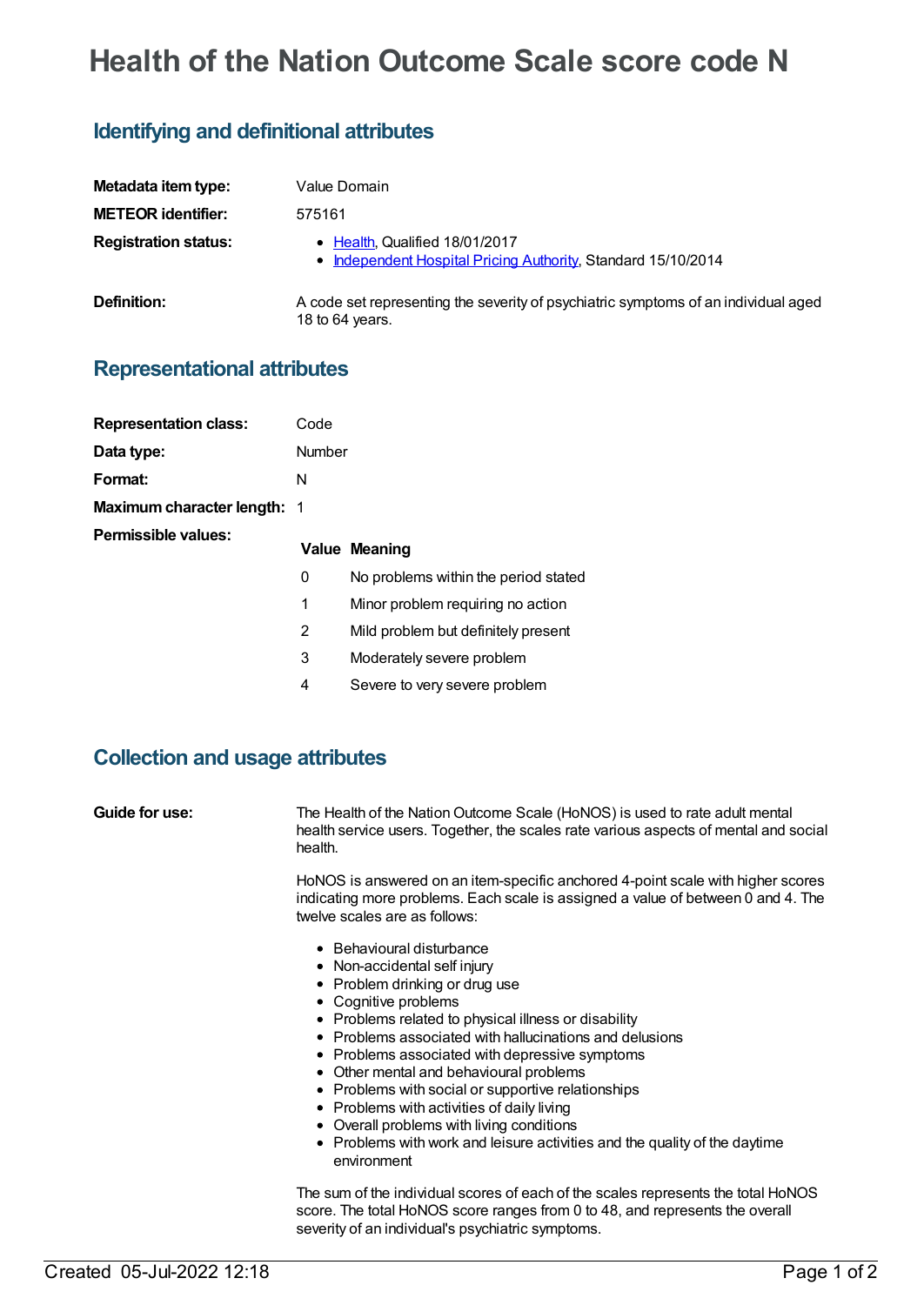# **Health of the Nation Outcome Scale score code N**

## **Identifying and definitional attributes**

| Metadata item type:         | Value Domain                                                                                          |
|-----------------------------|-------------------------------------------------------------------------------------------------------|
| <b>METEOR identifier:</b>   | 575161                                                                                                |
| <b>Registration status:</b> | • Health, Qualified 18/01/2017<br>• Independent Hospital Pricing Authority, Standard 15/10/2014       |
| <b>Definition:</b>          | A code set representing the severity of psychiatric symptoms of an individual aged<br>18 to 64 years. |

#### **Representational attributes**

| <b>Representation class:</b>       | Code   |                                      |
|------------------------------------|--------|--------------------------------------|
| Data type:                         | Number |                                      |
| Format:                            | N      |                                      |
| <b>Maximum character length: 1</b> |        |                                      |
| Permissible values:                |        | <b>Value Meaning</b>                 |
|                                    | 0      | No problems within the period stated |
|                                    | 1      | Minor problem requiring no action    |
|                                    | 2      | Mild problem but definitely present  |
|                                    | 3      | Moderately severe problem            |
|                                    | 4      | Severe to very severe problem        |

#### **Collection and usage attributes**

**Guide for use:** The Health of the Nation Outcome Scale (HoNOS) is used to rate adult mental health service users. Together, the scales rate various aspects of mental and social health.

> HoNOS is answered on an item-specific anchored 4-point scale with higher scores indicating more problems. Each scale is assigned a value of between 0 and 4. The twelve scales are as follows:

- Behavioural disturbance
- Non-accidental self injury
- Problem drinking or drug use
- Cognitive problems
- Problems related to physical illness or disability
- Problems associated with hallucinations and delusions
- Problems associated with depressive symptoms
- Other mental and behavioural problems
- Problems with social or supportive relationships
- Problems with activities of daily living
- Overall problems with living conditions
- Problems with work and leisure activities and the quality of the daytime environment

The sum of the individual scores of each of the scales represents the total HoNOS score. The total HoNOS score ranges from 0 to 48, and represents the overall severity of an individual's psychiatric symptoms.